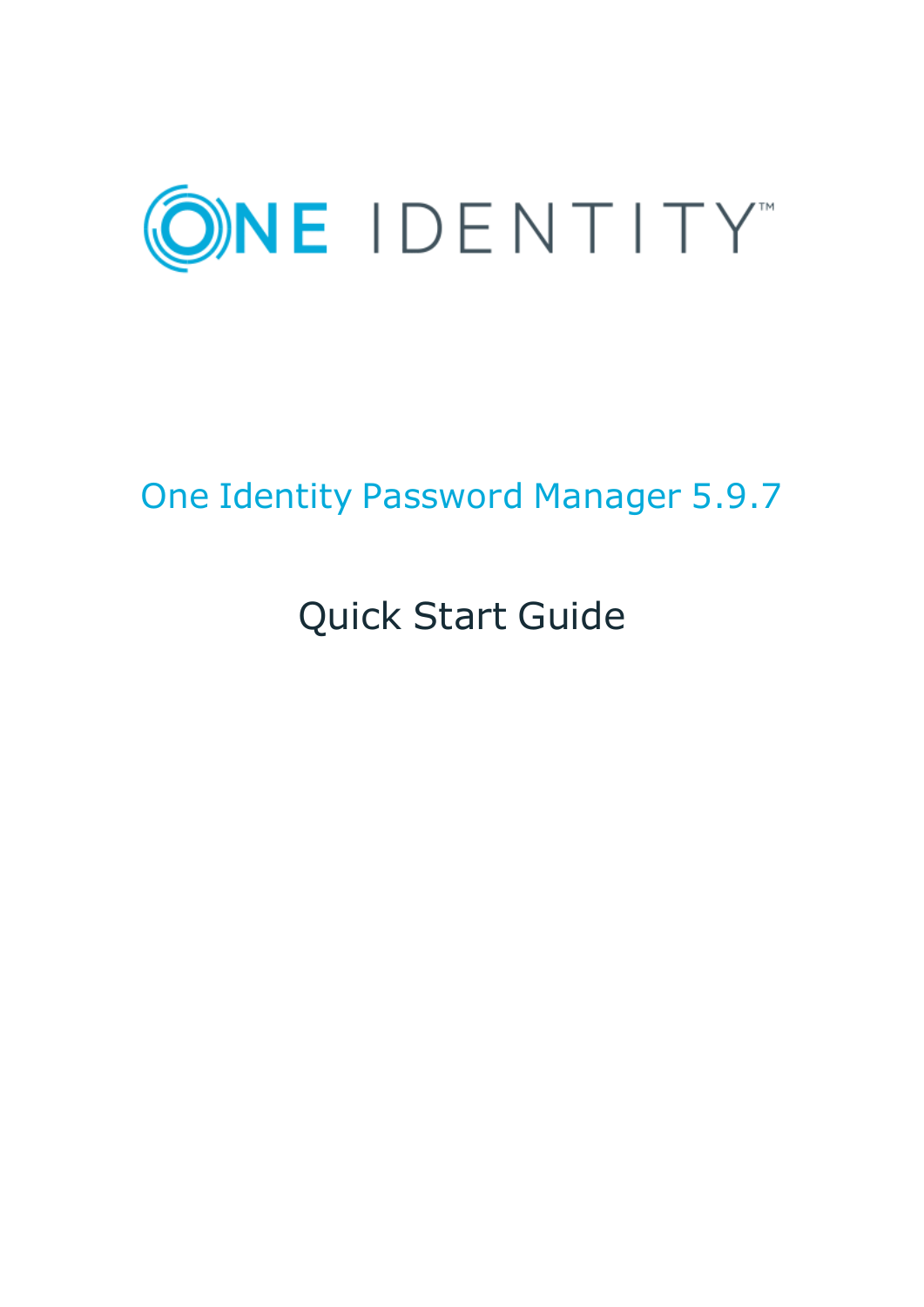

# One Identity Password Manager 5.9.7

# Quick Start Guide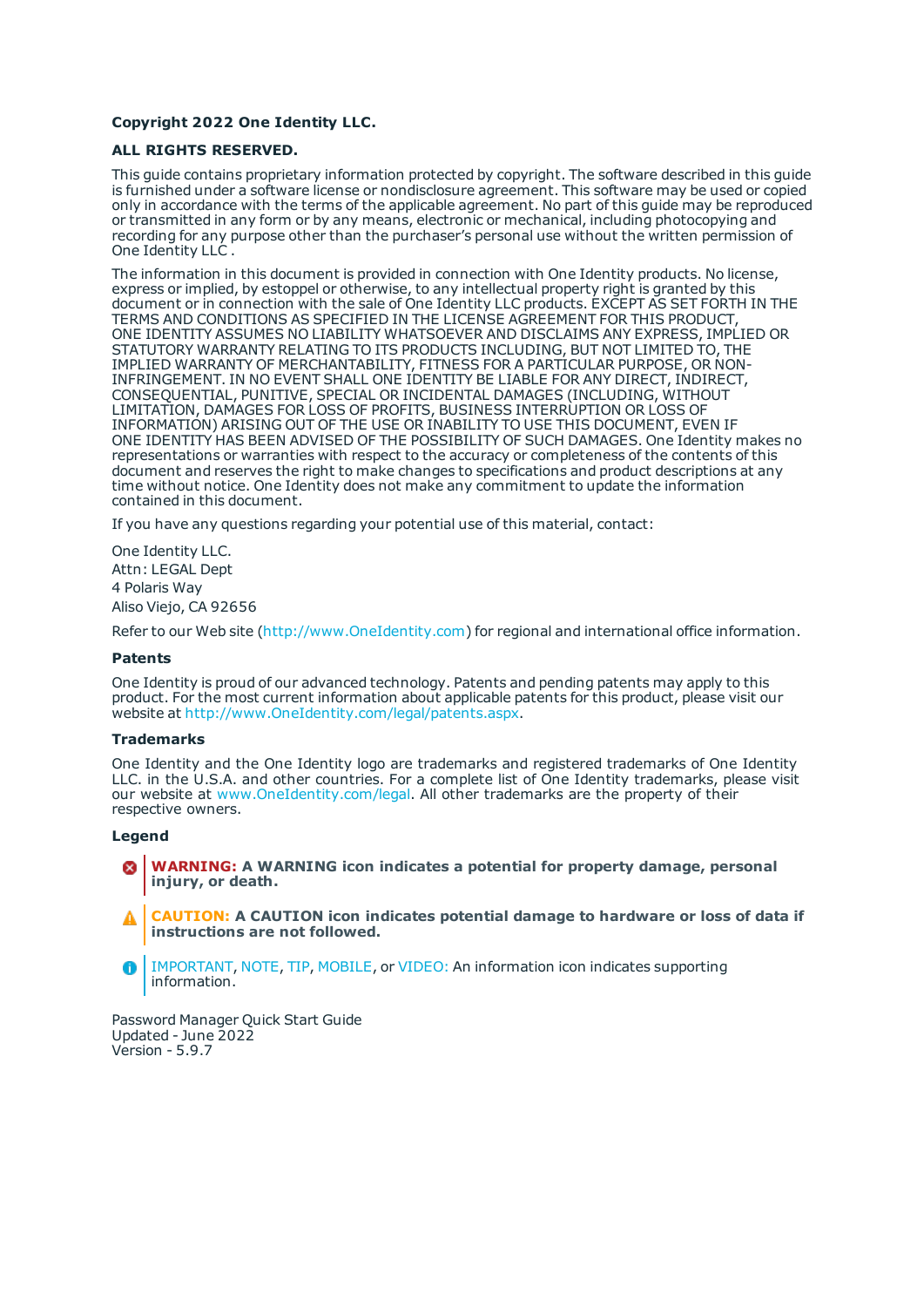#### **Copyright 2022 One Identity LLC.**

#### **ALL RIGHTS RESERVED.**

This guide contains proprietary information protected by copyright. The software described in this guide is furnished under a software license or nondisclosure agreement. This software may be used or copied only in accordance with the terms of the applicable agreement. No part of this guide may be reproduced or transmitted in any form or by any means, electronic or mechanical, including photocopying and recording for any purpose other than the purchaser's personal use without the written permission of One Identity LLC .

The information in this document is provided in connection with One Identity products. No license, express or implied, by estoppel or otherwise, to any intellectual property right is granted by this document or in connection with the sale of One Identity LLC products. EXCEPT AS SET FORTH IN THE TERMS AND CONDITIONS AS SPECIFIED IN THE LICENSE AGREEMENT FOR THIS PRODUCT, ONE IDENTITY ASSUMES NO LIABILITY WHATSOEVER AND DISCLAIMS ANY EXPRESS, IMPLIED OR STATUTORY WARRANTY RELATING TO ITS PRODUCTS INCLUDING, BUT NOT LIMITED TO, THE IMPLIED WARRANTY OF MERCHANTABILITY, FITNESS FOR A PARTICULAR PURPOSE, OR NON-INFRINGEMENT. IN NO EVENT SHALL ONE IDENTITY BE LIABLE FOR ANY DIRECT, INDIRECT, CONSEQUENTIAL, PUNITIVE, SPECIAL OR INCIDENTAL DAMAGES (INCLUDING, WITHOUT LIMITATION, DAMAGES FOR LOSS OF PROFITS, BUSINESS INTERRUPTION OR LOSS OF INFORMATION) ARISING OUT OF THE USE OR INABILITY TO USE THIS DOCUMENT, EVEN IF ONE IDENTITY HAS BEEN ADVISED OF THE POSSIBILITY OF SUCH DAMAGES. One Identity makes no representations or warranties with respect to the accuracy or completeness of the contents of this document and reserves the right to make changes to specifications and product descriptions at any time without notice. One Identity does not make any commitment to update the information contained in this document.

If you have any questions regarding your potential use of this material, contact:

One Identity LLC. Attn: LEGAL Dept 4 Polaris Way Aliso Viejo, CA 92656

Refer to our Web site ([http://www.OneIdentity.com](http://www.oneidentity.com/)) for regional and international office information.

#### **Patents**

One Identity is proud of our advanced technology. Patents and pending patents may apply to this product. For the most current information about applicable patents for this product, please visit our website at [http://www.OneIdentity.com/legal/patents.aspx](http://www.oneidentity.com/legal/patents.aspx).

#### **Trademarks**

One Identity and the One Identity logo are trademarks and registered trademarks of One Identity LLC. in the U.S.A. and other countries. For a complete list of One Identity trademarks, please visit our website at [www.OneIdentity.com/legal](http://www.oneidentity.com/legal). All other trademarks are the property of their respective owners.

#### **Legend**

- **WARNING: A WARNING icon indicates a potential for property damage, personal injury, or death.**
- **CAUTION: A CAUTION icon indicates potential damage to hardware or loss of data if instructions are not followed.**
- IMPORTANT, NOTE, TIP, MOBILE, or VIDEO: An information icon indicates supporting Œ information.

Password Manager Quick Start Guide Updated - June 2022 Version - 5.9.7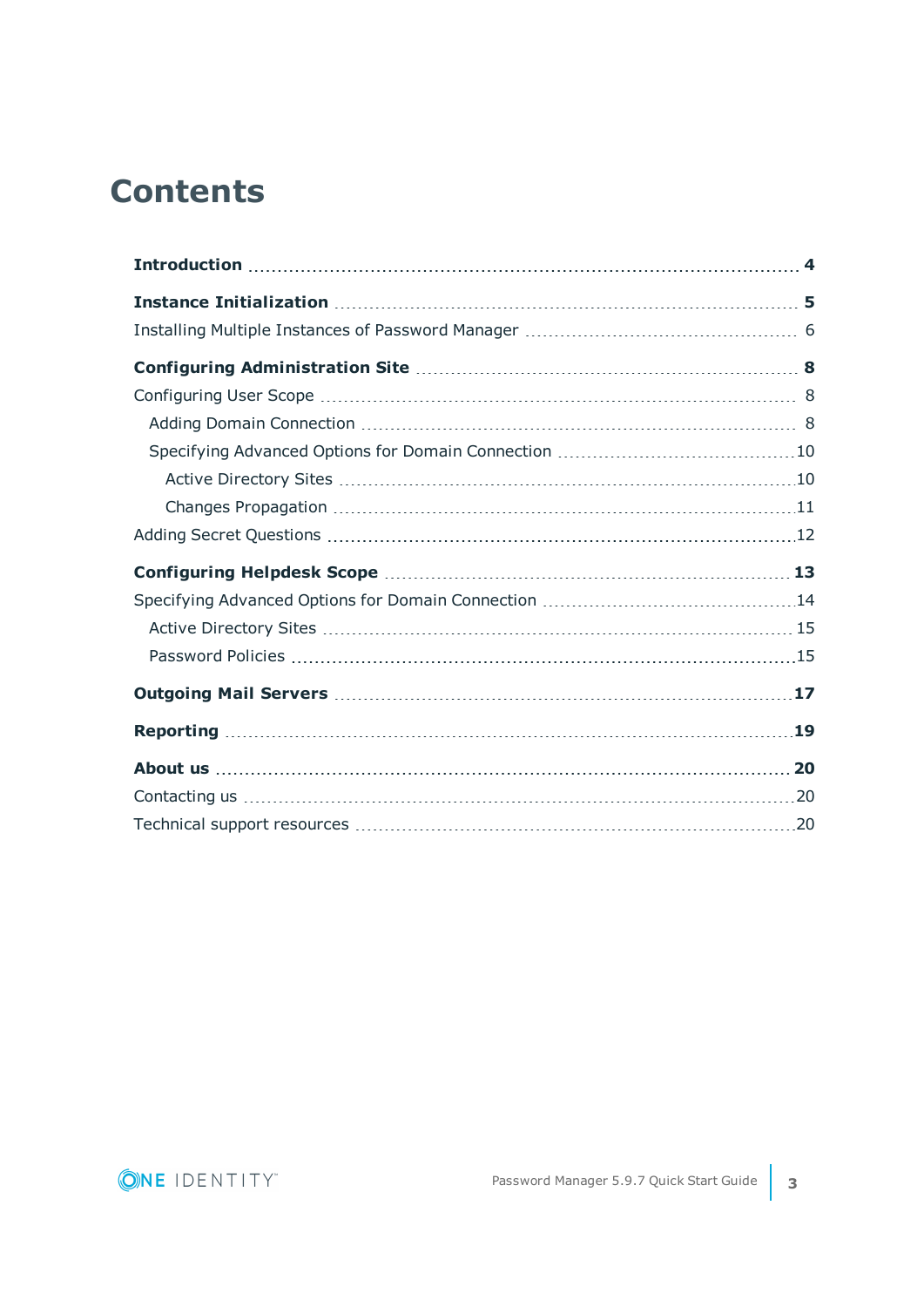### **Contents**

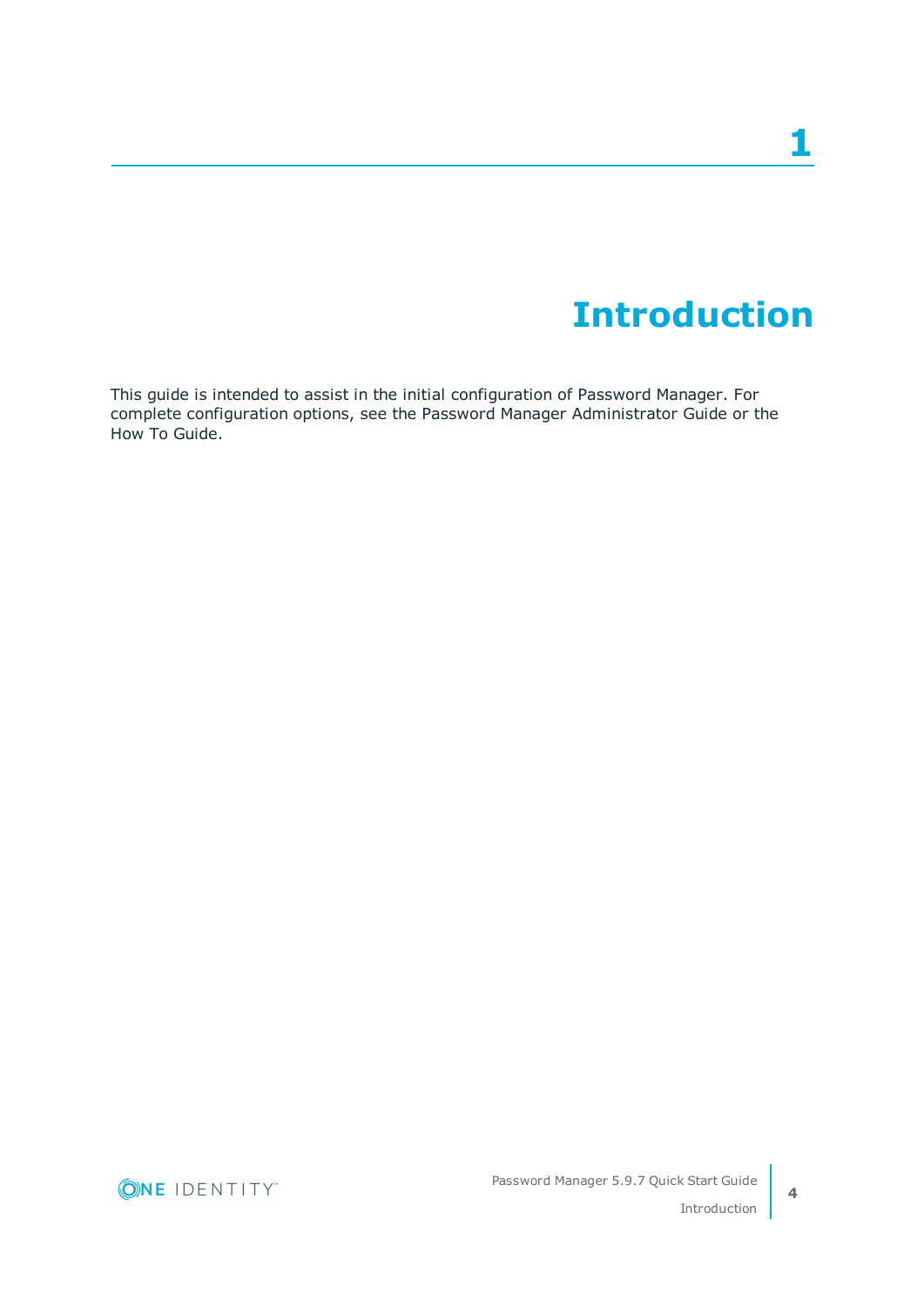## **Introduction**

<span id="page-3-0"></span>This guide is intended to assist in the initial configuration of Password Manager. For complete configuration options, see the Password Manager Administrator Guide or the How To Guide.

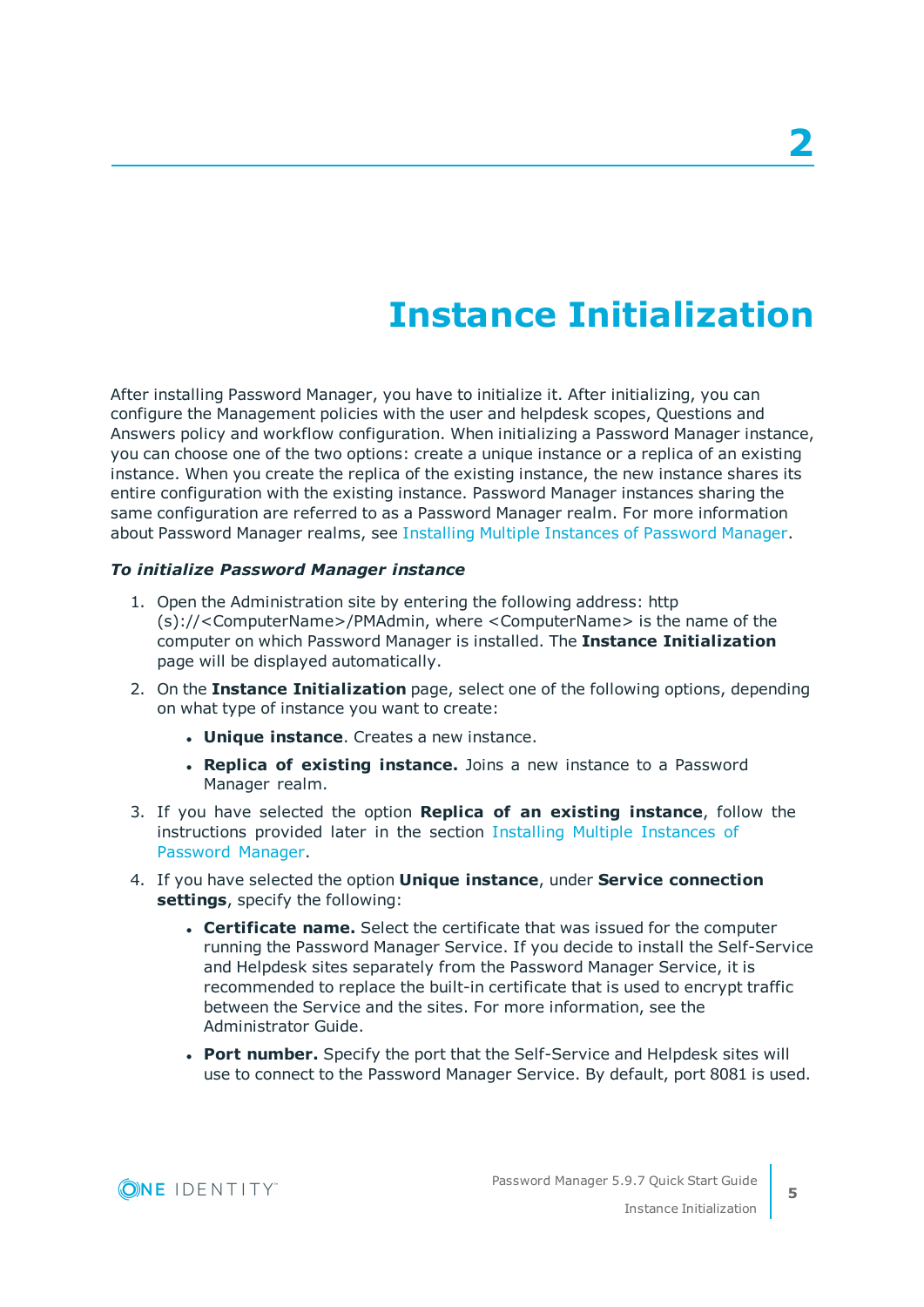## **Instance Initialization**

<span id="page-4-0"></span>After installing Password Manager, you have to initialize it. After initializing, you can configure the Management policies with the user and helpdesk scopes, Questions and Answers policy and workflow configuration. When initializing a Password Manager instance, you can choose one of the two options: create a unique instance or a replica of an existing instance. When you create the replica of the existing instance, the new instance shares its entire configuration with the existing instance. Password Manager instances sharing the same configuration are referred to as a Password Manager realm. For more information about Password Manager realms, see Installing Multiple [Instances](#page-5-0) of Password Manager.

#### *To initialize Password Manager instance*

- 1. Open the Administration site by entering the following address: http (s)://<ComputerName>/PMAdmin, where <ComputerName> is the name of the computer on which Password Manager is installed. The **Instance Initialization** page will be displayed automatically.
- 2. On the **Instance Initialization** page, select one of the following options, depending on what type of instance you want to create:
	- **. Unique instance**. Creates a new instance.
	- **. Replica of existing instance.** Joins a new instance to a Password Manager realm.
- 3. If you have selected the option **Replica of an existing instance**, follow the instructions provided later in the section Installing Multiple [Instances](#page-5-0) of [Password](#page-5-0) Manager.
- 4. If you have selected the option **Unique instance**, under **Service connection settings**, specify the following:
	- <sup>l</sup> **Certificate name.** Select the certificate that was issued for the computer running the Password Manager Service. If you decide to install the Self-Service and Helpdesk sites separately from the Password Manager Service, it is recommended to replace the built-in certificate that is used to encrypt traffic between the Service and the sites. For more information, see the Administrator Guide.
	- <sup>l</sup> **Port number.** Specify the port that the Self-Service and Helpdesk sites will use to connect to the Password Manager Service. By default, port 8081 is used.

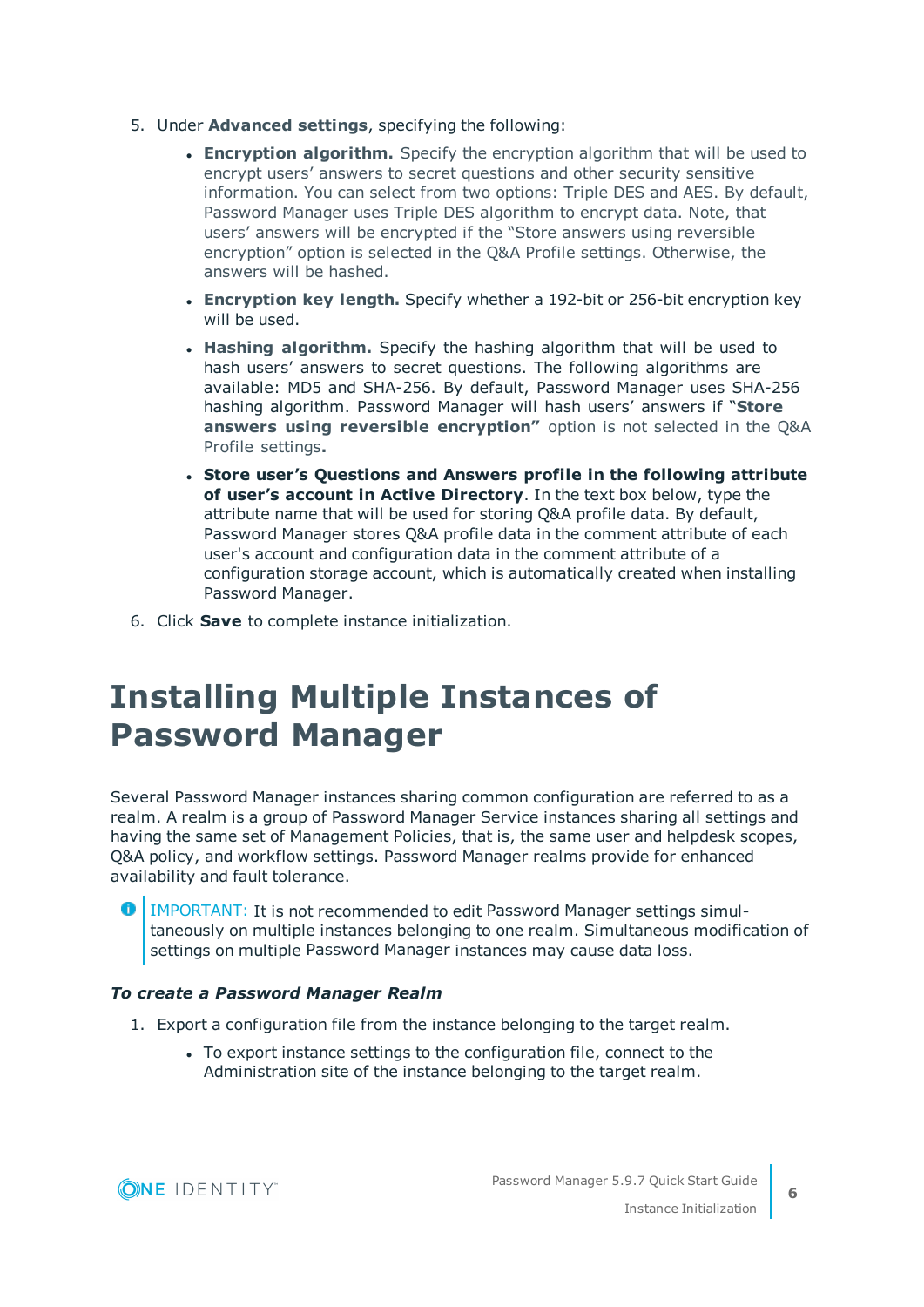- 5. Under **Advanced settings**, specifying the following:
	- **Encryption algorithm.** Specify the encryption algorithm that will be used to encrypt users' answers to secret questions and other security sensitive information. You can select from two options: Triple DES and AES. By default, Password Manager uses Triple DES algorithm to encrypt data. Note, that users' answers will be encrypted if the "Store answers using reversible encryption" option is selected in the Q&A Profile settings. Otherwise, the answers will be hashed.
	- <sup>l</sup> **Encryption key length.** Specify whether a 192-bit or 256-bit encryption key will be used.
	- **Hashing algorithm.** Specify the hashing algorithm that will be used to hash users' answers to secret questions. The following algorithms are available: MD5 and SHA-256. By default, Password Manager uses SHA-256 hashing algorithm. Password Manager will hash users' answers if "**Store answers using reversible encryption"** option is not selected in the Q&A Profile settings**.**
	- <sup>l</sup> **Store user's Questions and Answers profile in the following attribute of user's account in Active Directory**. In the text box below, type the attribute name that will be used for storing Q&A profile data. By default, Password Manager stores Q&A profile data in the comment attribute of each user's account and configuration data in the comment attribute of a configuration storage account, which is automatically created when installing Password Manager.
- <span id="page-5-0"></span>6. Click **Save** to complete instance initialization.

### **Installing Multiple Instances of Password Manager**

Several Password Manager instances sharing common configuration are referred to as a realm. A realm is a group of Password Manager Service instances sharing all settings and having the same set of Management Policies, that is, the same user and helpdesk scopes, Q&A policy, and workflow settings. Password Manager realms provide for enhanced availability and fault tolerance.

**O** | IMPORTANT: It is not recommended to edit Password Manager settings simultaneously on multiple instances belonging to one realm. Simultaneous modification of settings on multiple Password Manager instances may cause data loss.

### *To create a Password Manager Realm*

- 1. Export a configuration file from the instance belonging to the target realm.
	- To export instance settings to the configuration file, connect to the Administration site of the instance belonging to the target realm.

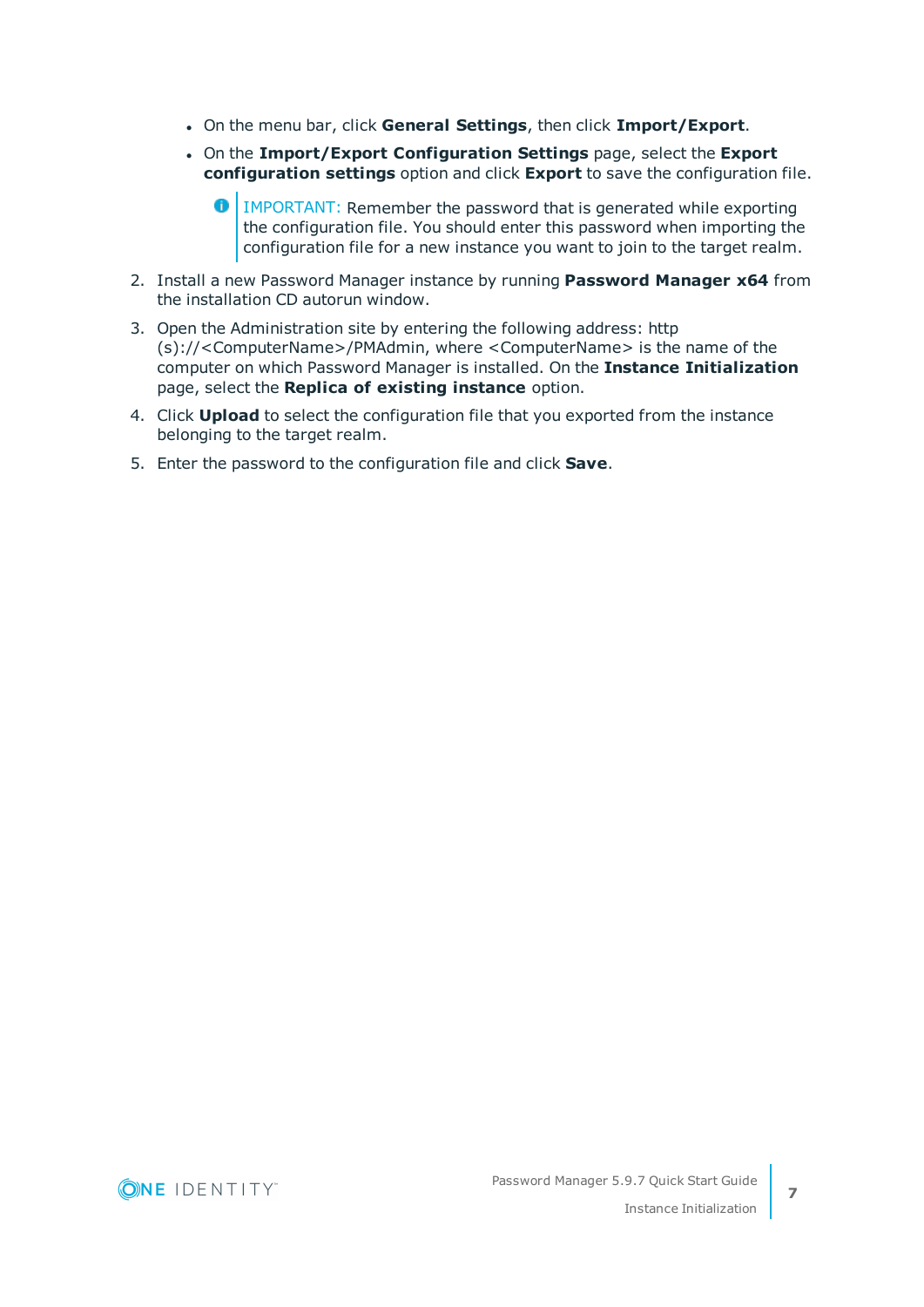- <sup>l</sup> On the menu bar, click **General Settings**, then click **Import/Export**.
- <sup>l</sup> On the **Import/Export Configuration Settings** page, select the **Export configuration settings** option and click **Export** to save the configuration file.
	- **O** IMPORTANT: Remember the password that is generated while exporting the configuration file. You should enter this password when importing the configuration file for a new instance you want to join to the target realm.
- 2. Install a new Password Manager instance by running **Password Manager x64** from the installation CD autorun window.
- 3. Open the Administration site by entering the following address: http (s)://<ComputerName>/PMAdmin, where <ComputerName> is the name of the computer on which Password Manager is installed. On the **Instance Initialization** page, select the **Replica of existing instance** option.
- 4. Click **Upload** to select the configuration file that you exported from the instance belonging to the target realm.
- 5. Enter the password to the configuration file and click **Save**.

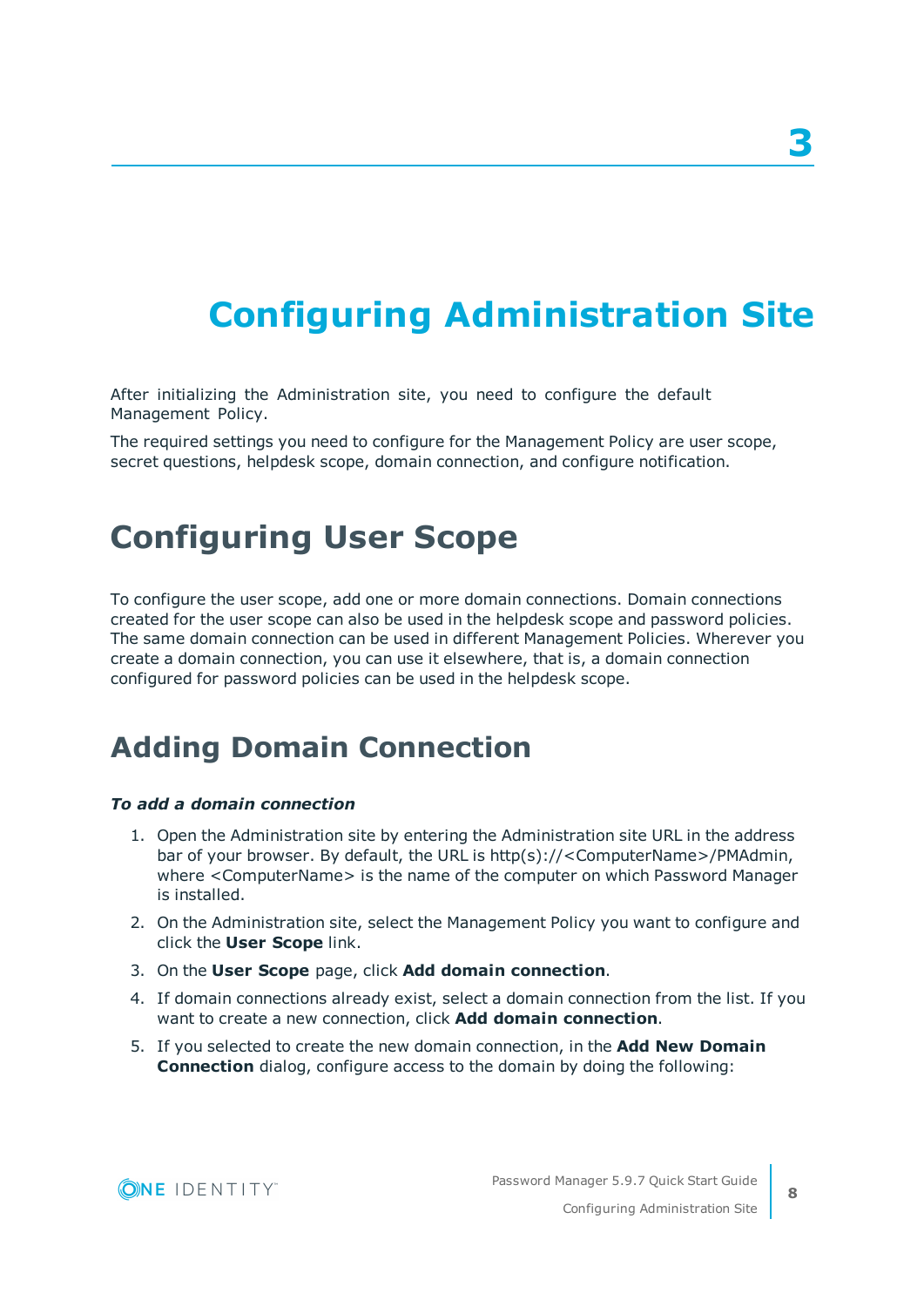# <span id="page-7-0"></span>**Configuring Administration Site**

After initializing the Administration site, you need to configure the default Management Policy.

The required settings you need to configure for the Management Policy are user scope, secret questions, helpdesk scope, domain connection, and configure notification.

### <span id="page-7-1"></span>**Configuring User Scope**

To configure the user scope, add one or more domain connections. Domain connections created for the user scope can also be used in the helpdesk scope and password policies. The same domain connection can be used in different Management Policies. Wherever you create a domain connection, you can use it elsewhere, that is, a domain connection configured for password policies can be used in the helpdesk scope.

### <span id="page-7-2"></span>**Adding Domain Connection**

#### *To add a domain connection*

- 1. Open the Administration site by entering the Administration site URL in the address bar of your browser. By default, the URL is http(s)://<ComputerName>/PMAdmin, where <ComputerName> is the name of the computer on which Password Manager is installed.
- 2. On the Administration site, select the Management Policy you want to configure and click the **User Scope** link.
- 3. On the **User Scope** page, click **Add domain connection**.
- 4. If domain connections already exist, select a domain connection from the list. If you want to create a new connection, click **Add domain connection**.
- 5. If you selected to create the new domain connection, in the **Add New Domain Connection** dialog, configure access to the domain by doing the following:

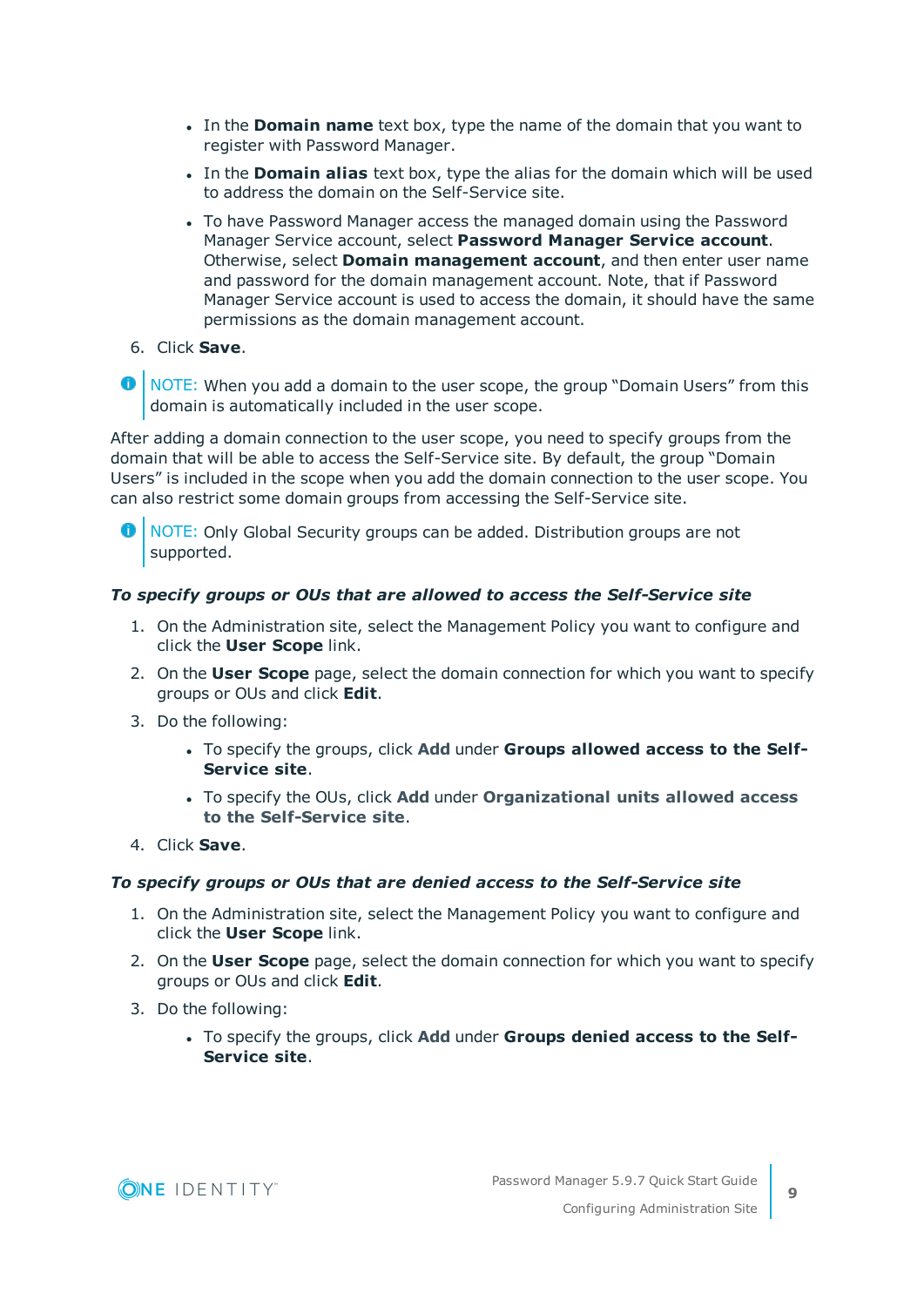- **In the Domain name** text box, type the name of the domain that you want to register with Password Manager.
- <sup>l</sup> In the **Domain alias** text box, type the alias for the domain which will be used to address the domain on the Self-Service site.
- To have Password Manager access the managed domain using the Password Manager Service account, select **Password Manager Service account**. Otherwise, select **Domain management account**, and then enter user name and password for the domain management account. Note, that if Password Manager Service account is used to access the domain, it should have the same permissions as the domain management account.
- 6. Click **Save**.
- **O** NOTE: When you add a domain to the user scope, the group "Domain Users" from this domain is automatically included in the user scope.

After adding a domain connection to the user scope, you need to specify groups from the domain that will be able to access the Self-Service site. By default, the group "Domain Users" is included in the scope when you add the domain connection to the user scope. You can also restrict some domain groups from accessing the Self-Service site.

NOTE: Only Global Security groups can be added. Distribution groups are not supported.

### *To specify groups or OUs that are allowed to access the Self-Service site*

- 1. On the Administration site, select the Management Policy you want to configure and click the **User Scope** link.
- 2. On the **User Scope** page, select the domain connection for which you want to specify groups or OUs and click **Edit**.
- 3. Do the following:
	- <sup>l</sup> To specify the groups, click **Add** under **Groups allowed access to the Self-Service site**.
	- <sup>l</sup> To specify the OUs, click **Add** under **Organizational units allowed access to the Self-Service site**.
- 4. Click **Save**.

### *To specify groups or OUs that are denied access to the Self-Service site*

- 1. On the Administration site, select the Management Policy you want to configure and click the **User Scope** link.
- 2. On the **User Scope** page, select the domain connection for which you want to specify groups or OUs and click **Edit**.
- 3. Do the following:
	- <sup>l</sup> To specify the groups, click **Add** under **Groups denied access to the Self-Service site**.

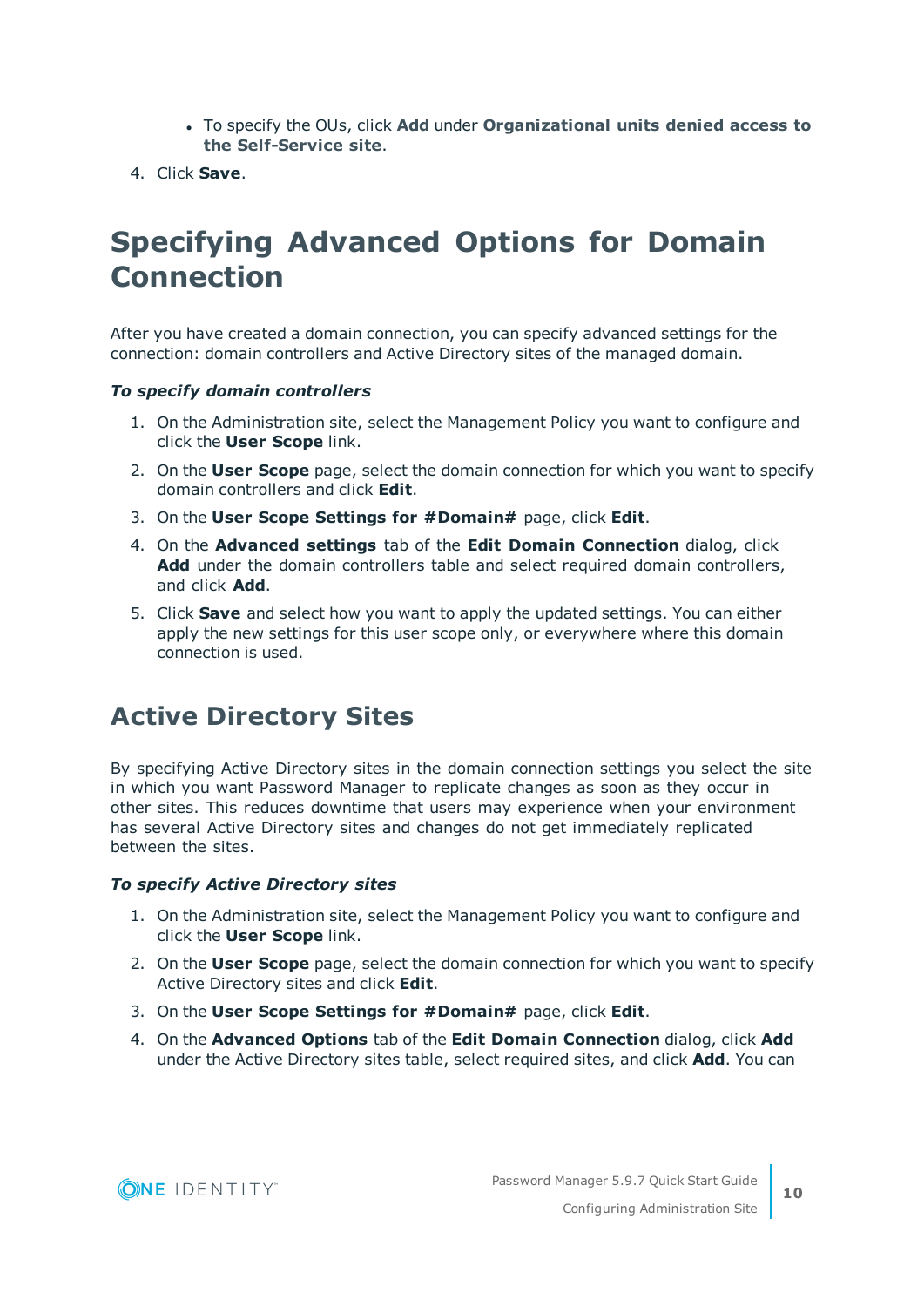- <sup>l</sup> To specify the OUs, click **Add** under **Organizational units denied access to the Self-Service site**.
- <span id="page-9-0"></span>4. Click **Save**.

### **Specifying Advanced Options for Domain Connection**

After you have created a domain connection, you can specify advanced settings for the connection: domain controllers and Active Directory sites of the managed domain.

#### *To specify domain controllers*

- 1. On the Administration site, select the Management Policy you want to configure and click the **User Scope** link.
- 2. On the **User Scope** page, select the domain connection for which you want to specify domain controllers and click **Edit**.
- 3. On the **User Scope Settings for #Domain#** page, click **Edit**.
- 4. On the **Advanced settings** tab of the **Edit Domain Connection** dialog, click **Add** under the domain controllers table and select required domain controllers, and click **Add**.
- 5. Click **Save** and select how you want to apply the updated settings. You can either apply the new settings for this user scope only, or everywhere where this domain connection is used.

### <span id="page-9-1"></span>**Active Directory Sites**

By specifying Active Directory sites in the domain connection settings you select the site in which you want Password Manager to replicate changes as soon as they occur in other sites. This reduces downtime that users may experience when your environment has several Active Directory sites and changes do not get immediately replicated between the sites.

#### *To specify Active Directory sites*

- 1. On the Administration site, select the Management Policy you want to configure and click the **User Scope** link.
- 2. On the **User Scope** page, select the domain connection for which you want to specify Active Directory sites and click **Edit**.
- 3. On the **User Scope Settings for #Domain#** page, click **Edit**.
- 4. On the **Advanced Options** tab of the **Edit Domain Connection** dialog, click **Add** under the Active Directory sites table, select required sites, and click **Add**. You can

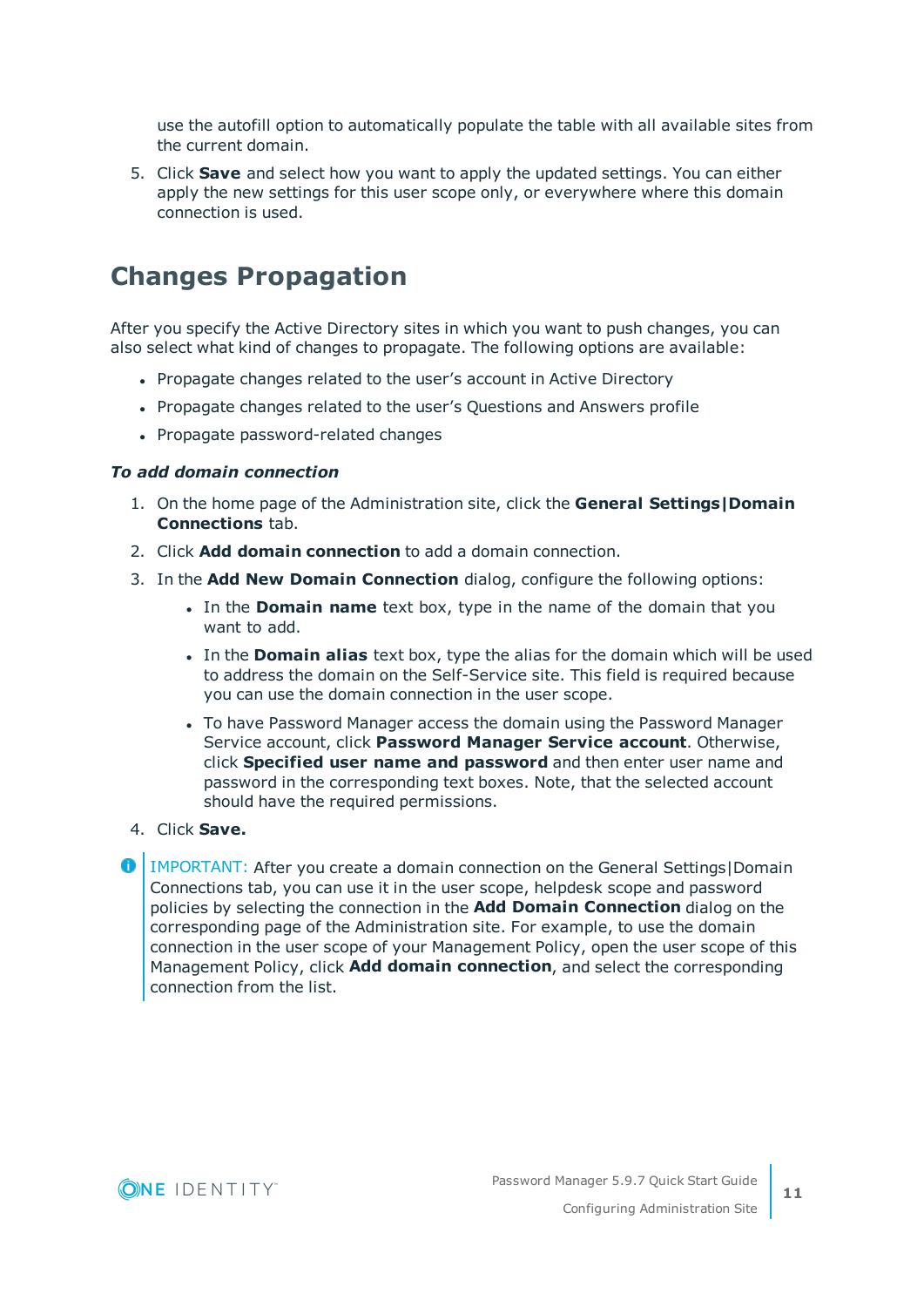use the autofill option to automatically populate the table with all available sites from the current domain.

5. Click **Save** and select how you want to apply the updated settings. You can either apply the new settings for this user scope only, or everywhere where this domain connection is used.

### <span id="page-10-0"></span>**Changes Propagation**

After you specify the Active Directory sites in which you want to push changes, you can also select what kind of changes to propagate. The following options are available:

- Propagate changes related to the user's account in Active Directory
- Propagate changes related to the user's Questions and Answers profile
- Propagate password-related changes

#### *To add domain connection*

- 1. On the home page of the Administration site, click the **General Settings|Domain Connections** tab.
- 2. Click **Add domain connection** to add a domain connection.
- 3. In the **Add New Domain Connection** dialog, configure the following options:
	- In the **Domain name** text box, type in the name of the domain that you want to add.
	- <sup>l</sup> In the **Domain alias** text box, type the alias for the domain which will be used to address the domain on the Self-Service site. This field is required because you can use the domain connection in the user scope.
	- To have Password Manager access the domain using the Password Manager Service account, click **Password Manager Service account**. Otherwise, click **Specified user name and password** and then enter user name and password in the corresponding text boxes. Note, that the selected account should have the required permissions.
- 4. Click **Save.**

**O** | IMPORTANT: After you create a domain connection on the General Settings | Domain Connections tab, you can use it in the user scope, helpdesk scope and password policies by selecting the connection in the **Add Domain Connection** dialog on the corresponding page of the Administration site. For example, to use the domain connection in the user scope of your Management Policy, open the user scope of this Management Policy, click **Add domain connection**, and select the corresponding connection from the list.

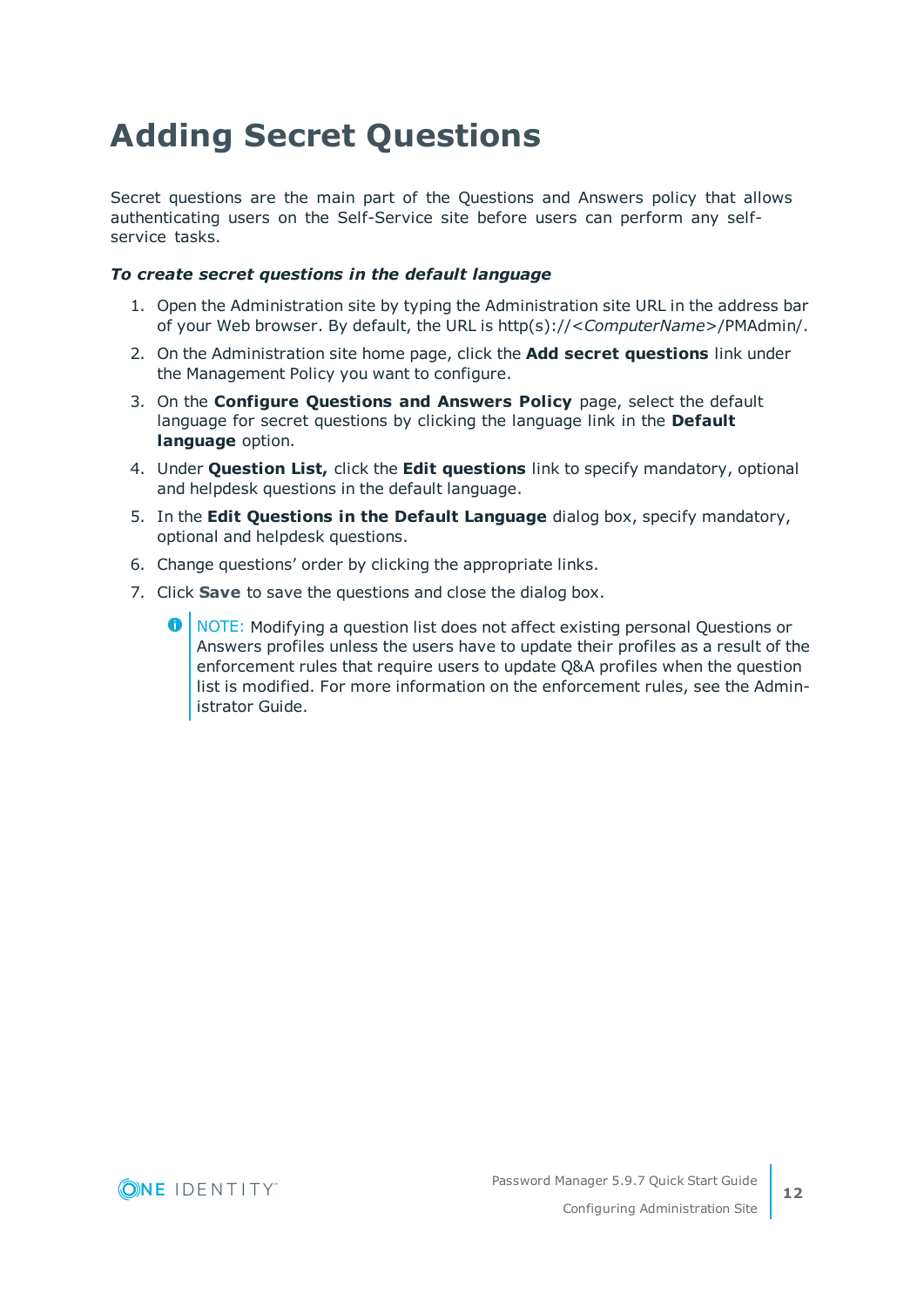## <span id="page-11-0"></span>**Adding Secret Questions**

Secret questions are the main part of the Questions and Answers policy that allows authenticating users on the Self-Service site before users can perform any selfservice tasks.

### *To create secret questions in the default language*

- 1. Open the Administration site by typing the Administration site URL in the address bar of your Web browser. By default, the URL is http(s)://<*ComputerName*>/PMAdmin/.
- 2. On the Administration site home page, click the **Add secret questions** link under the Management Policy you want to configure.
- 3. On the **Configure Questions and Answers Policy** page, select the default language for secret questions by clicking the language link in the **Default language** option.
- 4. Under **Question List,** click the **Edit questions** link to specify mandatory, optional and helpdesk questions in the default language.
- 5. In the **Edit Questions in the Default Language** dialog box, specify mandatory, optional and helpdesk questions.
- 6. Change questions' order by clicking the appropriate links.
- 7. Click **Save** to save the questions and close the dialog box.
	- 0 NOTE: Modifying a question list does not affect existing personal Questions or Answers profiles unless the users have to update their profiles as a result of the enforcement rules that require users to update Q&A profiles when the question list is modified. For more information on the enforcement rules, see the Administrator Guide.

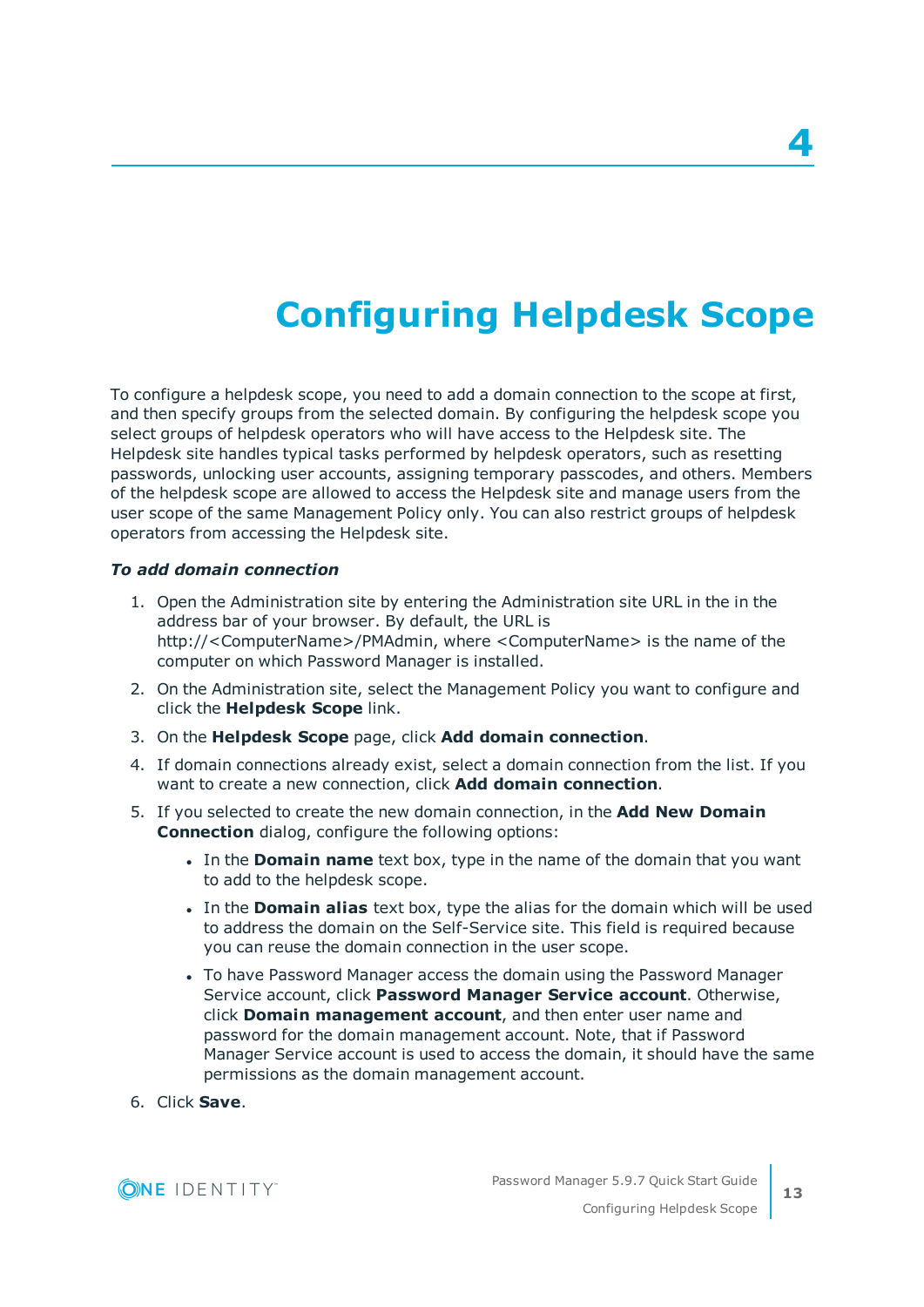# **Configuring Helpdesk Scope**

<span id="page-12-0"></span>To configure a helpdesk scope, you need to add a domain connection to the scope at first, and then specify groups from the selected domain. By configuring the helpdesk scope you select groups of helpdesk operators who will have access to the Helpdesk site. The Helpdesk site handles typical tasks performed by helpdesk operators, such as resetting passwords, unlocking user accounts, assigning temporary passcodes, and others. Members of the helpdesk scope are allowed to access the Helpdesk site and manage users from the user scope of the same Management Policy only. You can also restrict groups of helpdesk operators from accessing the Helpdesk site.

### *To add domain connection*

- 1. Open the Administration site by entering the Administration site URL in the in the address bar of your browser. By default, the URL is http://<ComputerName>/PMAdmin, where <ComputerName> is the name of the computer on which Password Manager is installed.
- 2. On the Administration site, select the Management Policy you want to configure and click the **Helpdesk Scope** link.
- 3. On the **Helpdesk Scope** page, click **Add domain connection**.
- 4. If domain connections already exist, select a domain connection from the list. If you want to create a new connection, click **Add domain connection**.
- 5. If you selected to create the new domain connection, in the **Add New Domain Connection** dialog, configure the following options:
	- <sup>l</sup> In the **Domain name** text box, type in the name of the domain that you want to add to the helpdesk scope.
	- <sup>l</sup> In the **Domain alias** text box, type the alias for the domain which will be used to address the domain on the Self-Service site. This field is required because you can reuse the domain connection in the user scope.
	- To have Password Manager access the domain using the Password Manager Service account, click **Password Manager Service account**. Otherwise, click **Domain management account**, and then enter user name and password for the domain management account. Note, that if Password Manager Service account is used to access the domain, it should have the same permissions as the domain management account.
- 6. Click **Save**.

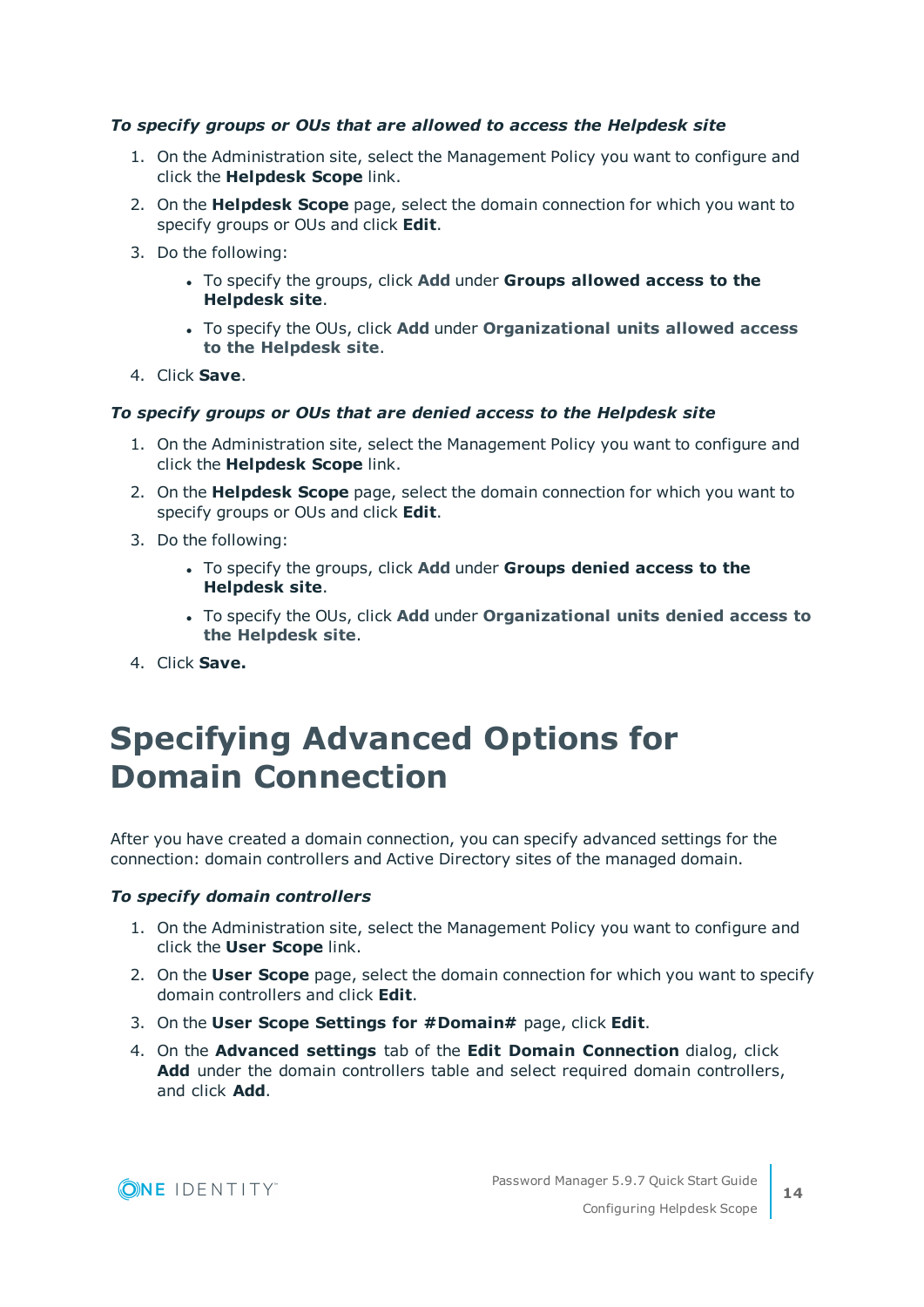### *To specify groups or OUs that are allowed to access the Helpdesk site*

- 1. On the Administration site, select the Management Policy you want to configure and click the **Helpdesk Scope** link.
- 2. On the **Helpdesk Scope** page, select the domain connection for which you want to specify groups or OUs and click **Edit**.
- 3. Do the following:
	- <sup>l</sup> To specify the groups, click **Add** under **Groups allowed access to the Helpdesk site**.
	- <sup>l</sup> To specify the OUs, click **Add** under **Organizational units allowed access to the Helpdesk site**.
- 4. Click **Save**.

### *To specify groups or OUs that are denied access to the Helpdesk site*

- 1. On the Administration site, select the Management Policy you want to configure and click the **Helpdesk Scope** link.
- 2. On the **Helpdesk Scope** page, select the domain connection for which you want to specify groups or OUs and click **Edit**.
- 3. Do the following:
	- <sup>l</sup> To specify the groups, click **Add** under **Groups denied access to the Helpdesk site**.
	- <sup>l</sup> To specify the OUs, click **Add** under **Organizational units denied access to the Helpdesk site**.
- <span id="page-13-0"></span>4. Click **Save.**

### **Specifying Advanced Options for Domain Connection**

After you have created a domain connection, you can specify advanced settings for the connection: domain controllers and Active Directory sites of the managed domain.

#### *To specify domain controllers*

- 1. On the Administration site, select the Management Policy you want to configure and click the **User Scope** link.
- 2. On the **User Scope** page, select the domain connection for which you want to specify domain controllers and click **Edit**.
- 3. On the **User Scope Settings for #Domain#** page, click **Edit**.
- 4. On the **Advanced settings** tab of the **Edit Domain Connection** dialog, click **Add** under the domain controllers table and select required domain controllers, and click **Add**.

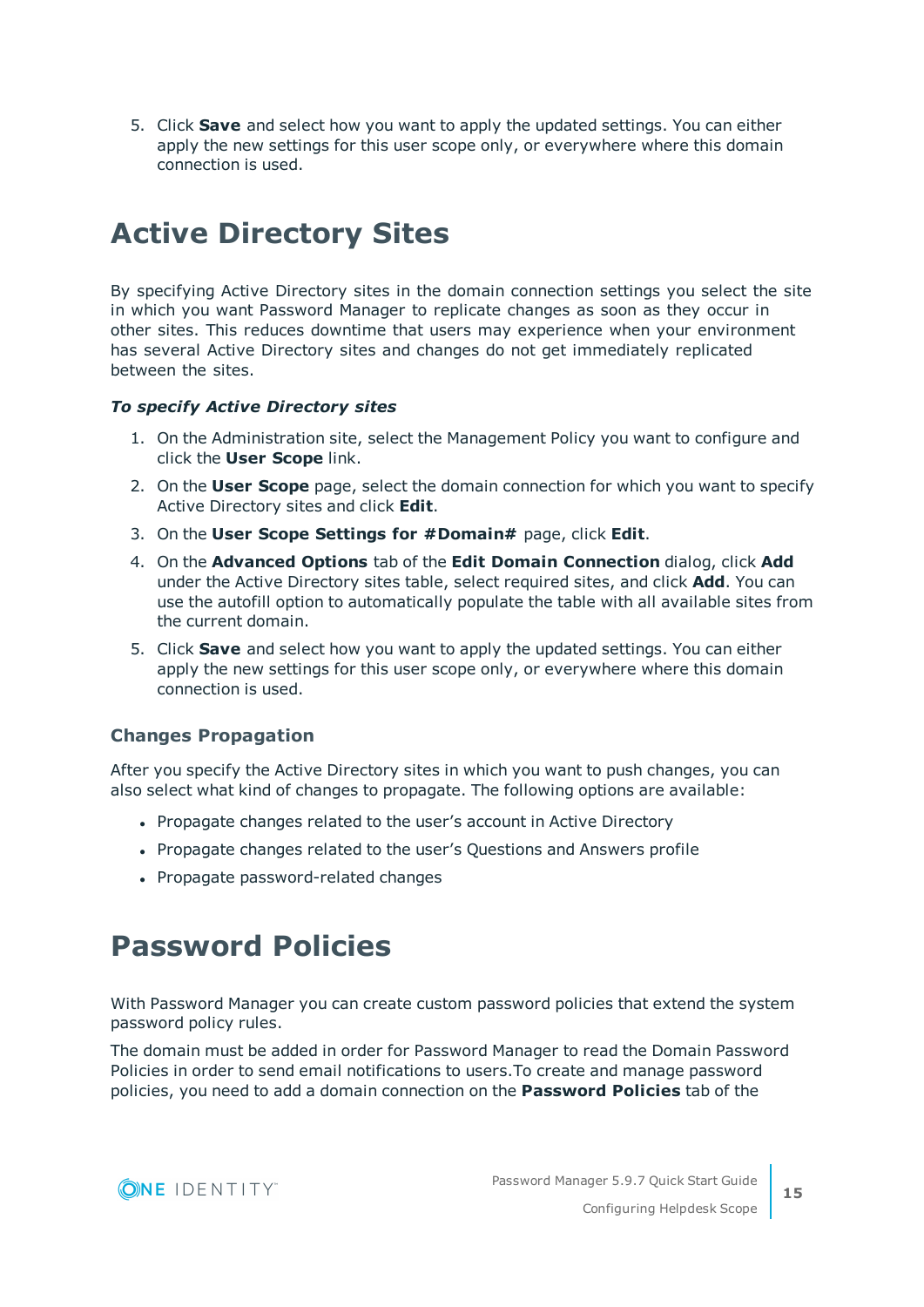5. Click **Save** and select how you want to apply the updated settings. You can either apply the new settings for this user scope only, or everywhere where this domain connection is used.

### <span id="page-14-0"></span>**Active Directory Sites**

By specifying Active Directory sites in the domain connection settings you select the site in which you want Password Manager to replicate changes as soon as they occur in other sites. This reduces downtime that users may experience when your environment has several Active Directory sites and changes do not get immediately replicated between the sites.

### *To specify Active Directory sites*

- 1. On the Administration site, select the Management Policy you want to configure and click the **User Scope** link.
- 2. On the **User Scope** page, select the domain connection for which you want to specify Active Directory sites and click **Edit**.
- 3. On the **User Scope Settings for #Domain#** page, click **Edit**.
- 4. On the **Advanced Options** tab of the **Edit Domain Connection** dialog, click **Add** under the Active Directory sites table, select required sites, and click **Add**. You can use the autofill option to automatically populate the table with all available sites from the current domain.
- 5. Click **Save** and select how you want to apply the updated settings. You can either apply the new settings for this user scope only, or everywhere where this domain connection is used.

### **Changes Propagation**

After you specify the Active Directory sites in which you want to push changes, you can also select what kind of changes to propagate. The following options are available:

- Propagate changes related to the user's account in Active Directory
- Propagate changes related to the user's Questions and Answers profile
- Propagate password-related changes

### <span id="page-14-1"></span>**Password Policies**

With Password Manager you can create custom password policies that extend the system password policy rules.

The domain must be added in order for Password Manager to read the Domain Password Policies in order to send email notifications to users.To create and manage password policies, you need to add a domain connection on the **Password Policies** tab of the

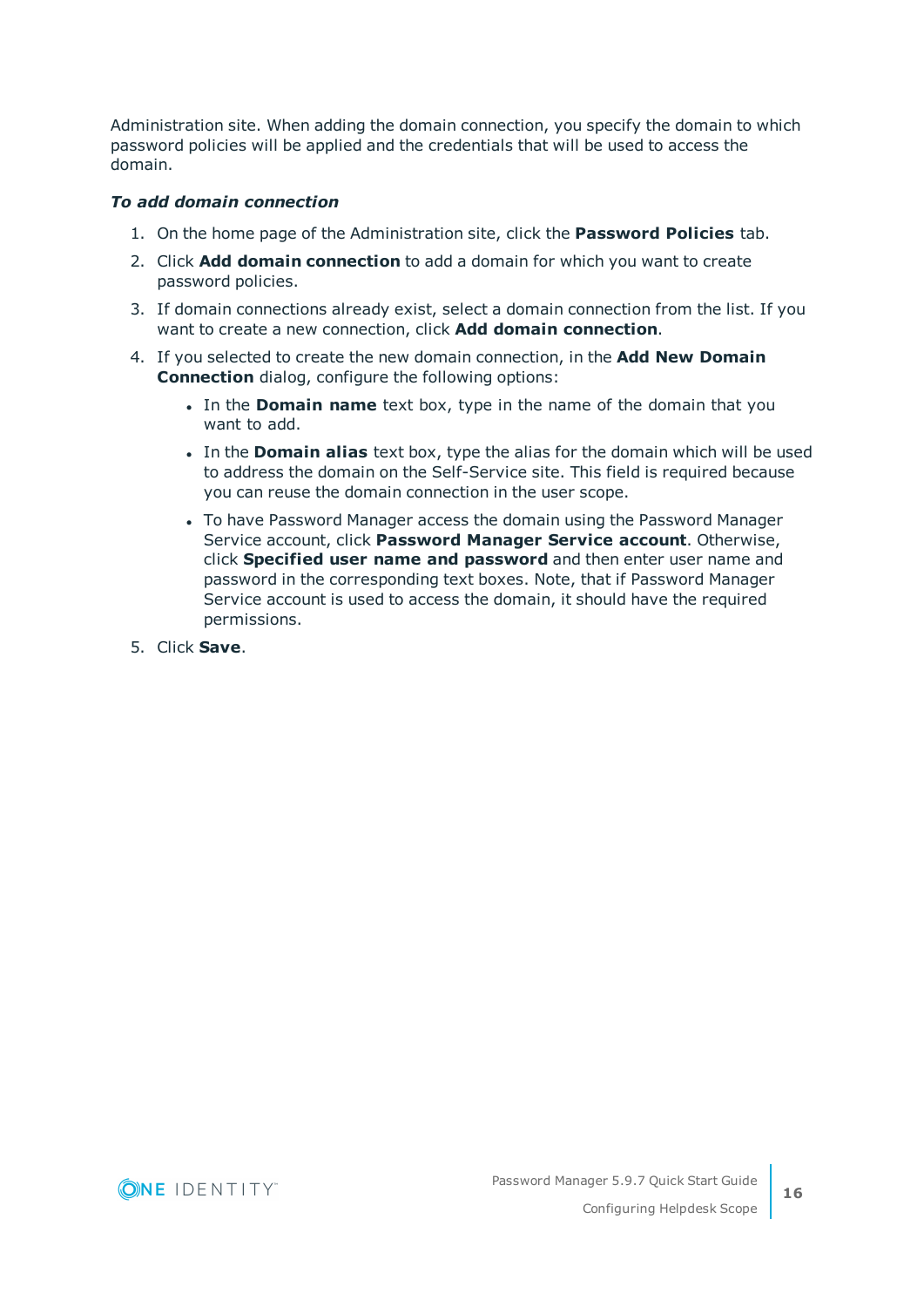Administration site. When adding the domain connection, you specify the domain to which password policies will be applied and the credentials that will be used to access the domain.

### *To add domain connection*

- 1. On the home page of the Administration site, click the **Password Policies** tab.
- 2. Click **Add domain connection** to add a domain for which you want to create password policies.
- 3. If domain connections already exist, select a domain connection from the list. If you want to create a new connection, click **Add domain connection**.
- 4. If you selected to create the new domain connection, in the **Add New Domain Connection** dialog, configure the following options:
	- In the **Domain name** text box, type in the name of the domain that you want to add.
	- <sup>l</sup> In the **Domain alias** text box, type the alias for the domain which will be used to address the domain on the Self-Service site. This field is required because you can reuse the domain connection in the user scope.
	- To have Password Manager access the domain using the Password Manager Service account, click **Password Manager Service account**. Otherwise, click **Specified user name and password** and then enter user name and password in the corresponding text boxes. Note, that if Password Manager Service account is used to access the domain, it should have the required permissions.
- 5. Click **Save**.

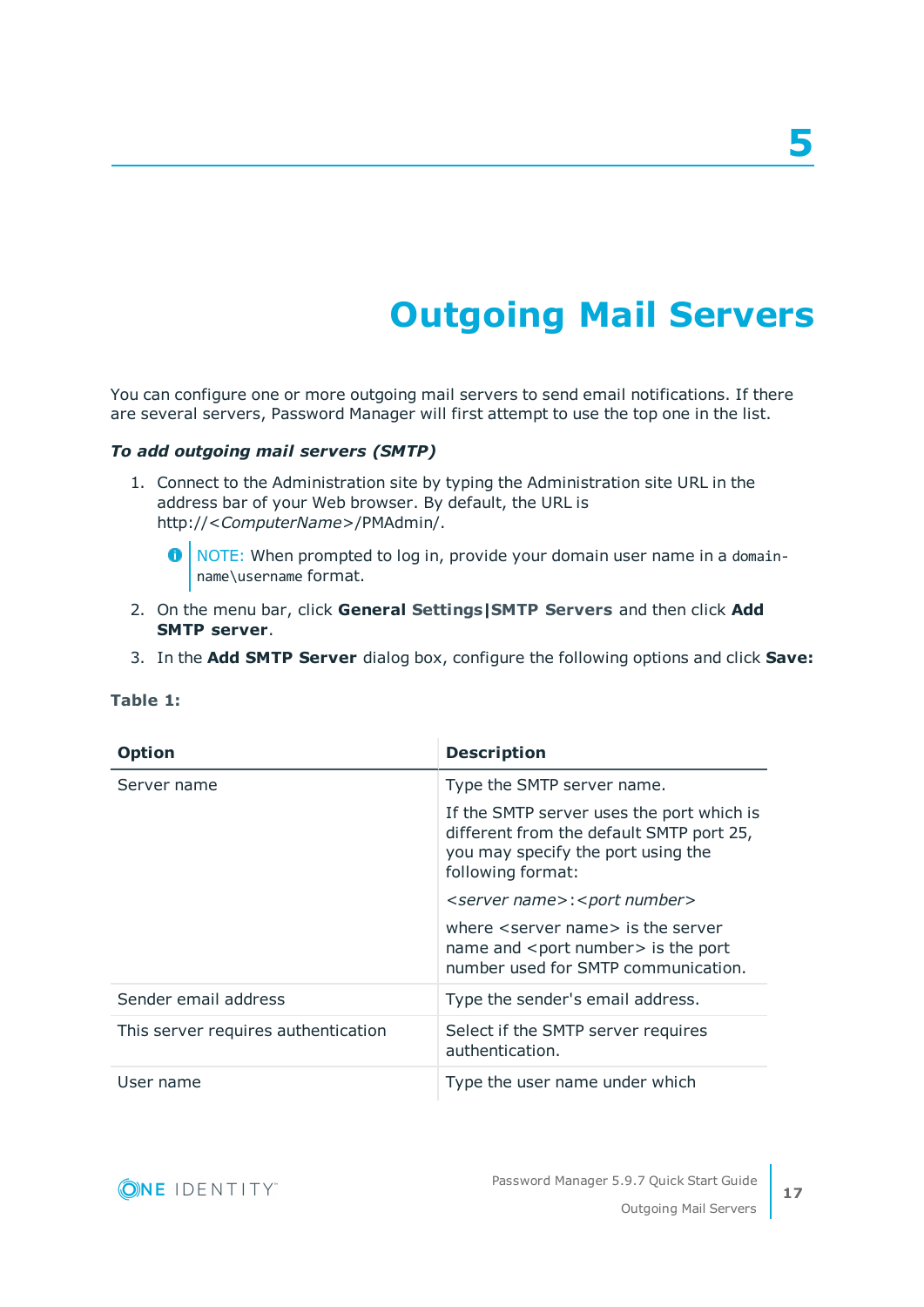# **Outgoing Mail Servers**

<span id="page-16-0"></span>You can configure one or more outgoing mail servers to send email notifications. If there are several servers, Password Manager will first attempt to use the top one in the list.

### *To add outgoing mail servers (SMTP)*

- 1. Connect to the Administration site by typing the Administration site URL in the address bar of your Web browser. By default, the URL is http://<*ComputerName*>/PMAdmin/.
	- $\bullet$ NOTE: When prompted to log in, provide your domain user name in a domainname\username format.
- 2. On the menu bar, click **General Settings|SMTP Servers** and then click **Add SMTP server**.
- 3. In the **Add SMTP Server** dialog box, configure the following options and click **Save:**

| <b>Option</b>                       | <b>Description</b>                                                                                                                               |
|-------------------------------------|--------------------------------------------------------------------------------------------------------------------------------------------------|
| Server name                         | Type the SMTP server name.                                                                                                                       |
|                                     | If the SMTP server uses the port which is<br>different from the default SMTP port 25,<br>you may specify the port using the<br>following format: |
|                                     | <server name="">:<port number=""></port></server>                                                                                                |
|                                     | where <server name=""> is the server<br/>name and <port number=""> is the port<br/>number used for SMTP communication.</port></server>           |
| Sender email address                | Type the sender's email address.                                                                                                                 |
| This server requires authentication | Select if the SMTP server requires<br>authentication.                                                                                            |
| User name                           | Type the user name under which                                                                                                                   |

### **Table 1:**

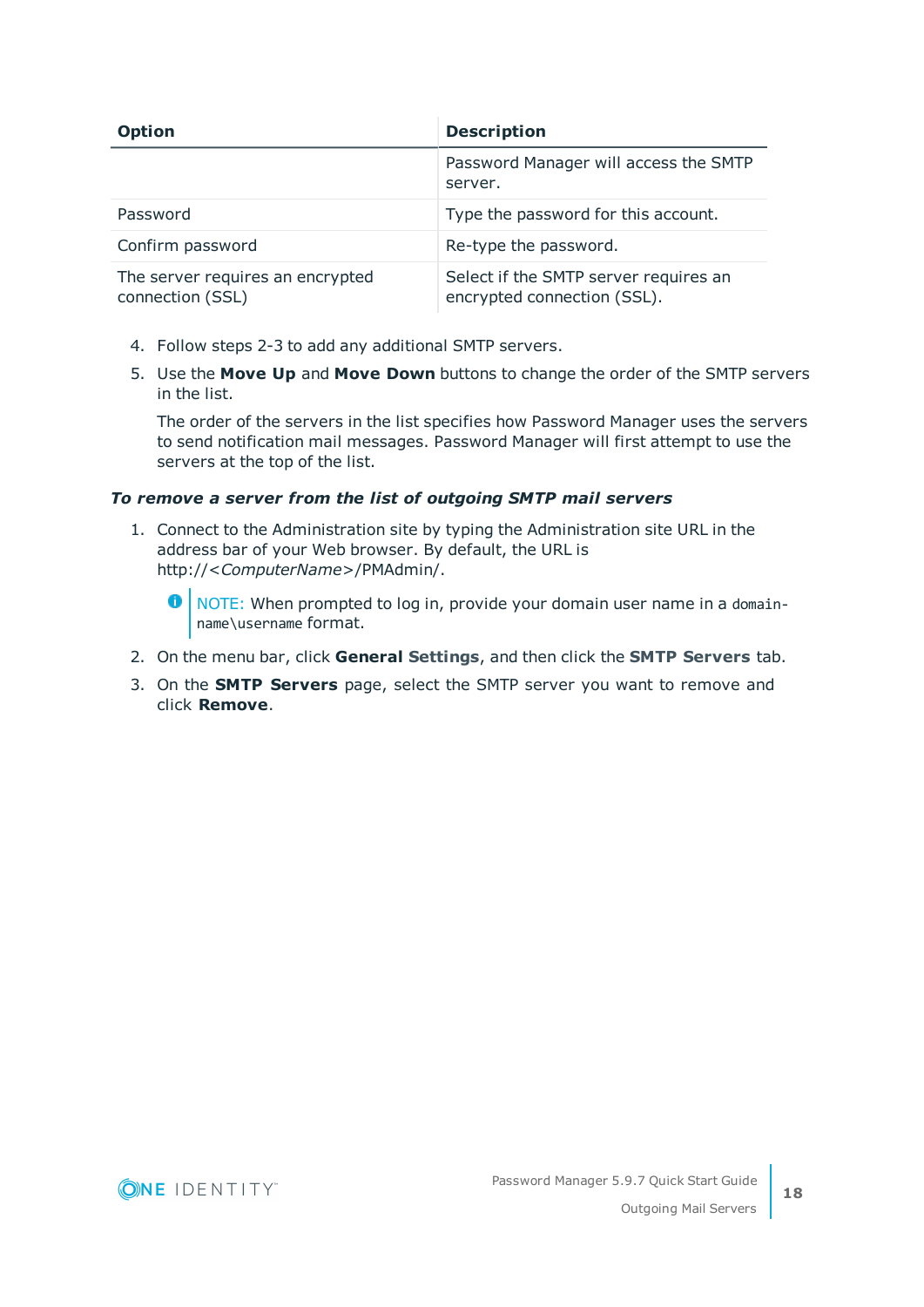| <b>Option</b>                                        | <b>Description</b>                                                   |
|------------------------------------------------------|----------------------------------------------------------------------|
|                                                      | Password Manager will access the SMTP<br>server.                     |
| Password                                             | Type the password for this account.                                  |
| Confirm password                                     | Re-type the password.                                                |
| The server requires an encrypted<br>connection (SSL) | Select if the SMTP server requires an<br>encrypted connection (SSL). |

- 4. Follow steps 2-3 to add any additional SMTP servers.
- 5. Use the **Move Up** and **Move Down** buttons to change the order of the SMTP servers in the list.

The order of the servers in the list specifies how Password Manager uses the servers to send notification mail messages. Password Manager will first attempt to use the servers at the top of the list.

### *To remove a server from the list of outgoing SMTP mail servers*

1. Connect to the Administration site by typing the Administration site URL in the address bar of your Web browser. By default, the URL is http://<*ComputerName*>/PMAdmin/.

 $\bullet$ NOTE: When prompted to log in, provide your domain user name in a domainname\username format.

- 2. On the menu bar, click **General Settings**, and then click the **SMTP Servers** tab.
- 3. On the **SMTP Servers** page, select the SMTP server you want to remove and click **Remove**.

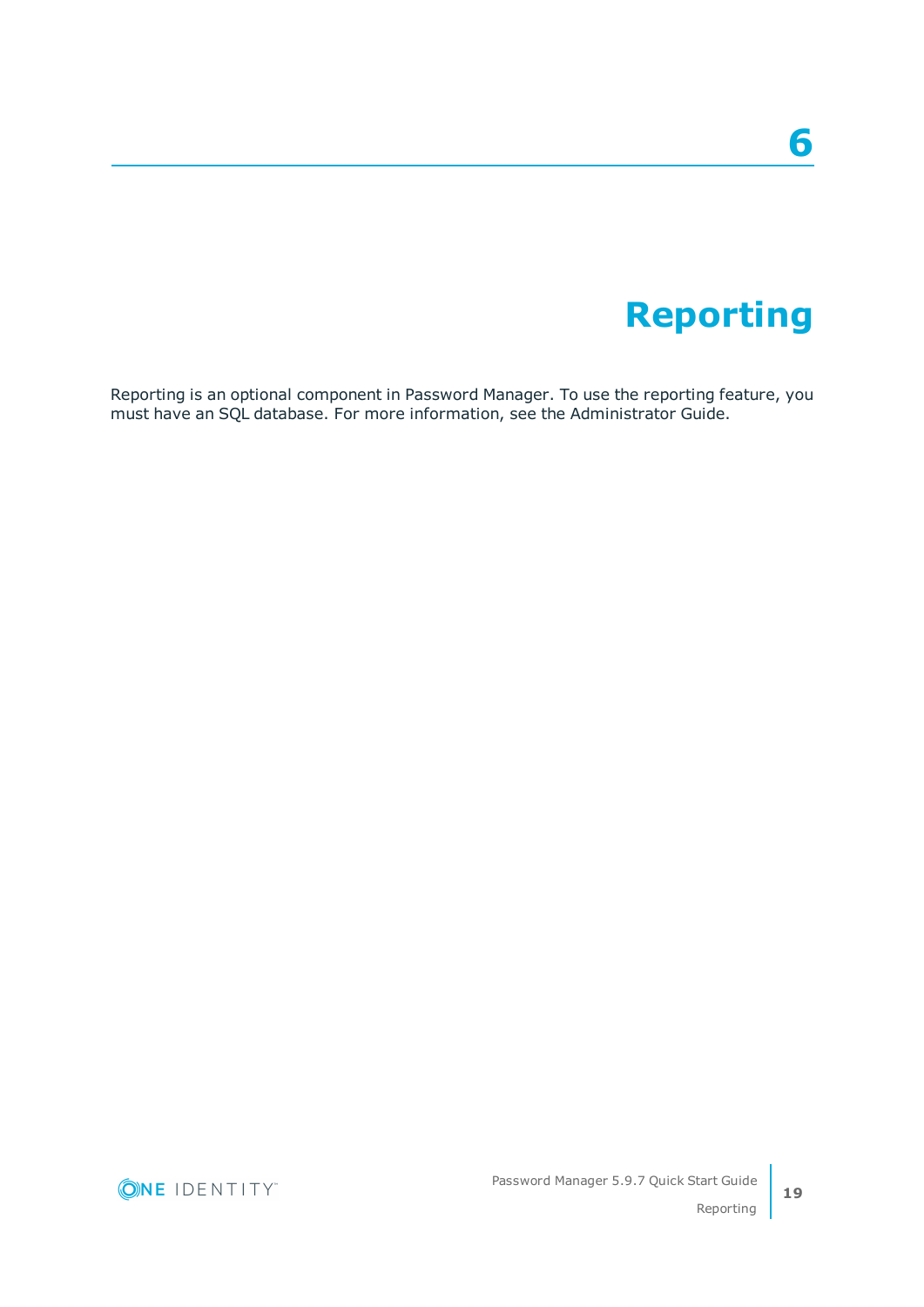## **6**

## **Reporting**

<span id="page-18-0"></span>Reporting is an optional component in Password Manager. To use the reporting feature, you must have an SQL database. For more information, see the Administrator Guide.